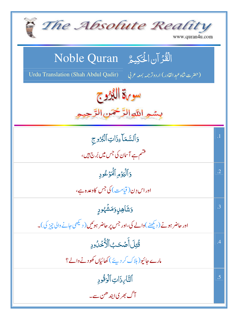| The Absolute Reality<br>www.quran4u.com                                                                               |            |
|-----------------------------------------------------------------------------------------------------------------------|------------|
| الْقُرْآنِ الْحَكِيمُ Noble Quran<br>Urdu Translation (Shah Abdul Qadir)<br>(حضرت شاه عبدالقادر) اردوتر جمه بمعه عربي |            |
| سورة اللاوج<br>بسمه اللهالزَّخْمَنِ الرَّحِ                                                                           |            |
| وَٱلسَّمَآءِذَاتِٱلۡبُرُوج<br>قشم ہے آسان کی جس میں بُرج ہیں،                                                         | $\cdot$ 1  |
| وَٱلۡيَوۡمِ ٱلۡمَوۡعُودِ<br>اوراس دِن( قيامت) کي جس کاوعده ہے،                                                        | $\cdot$ .2 |
| وَشَاهِلٍوَمَشَهُودِ<br>اور حاضر ہونے ( دیکھنے )والے کی،اور جس پر حاضر ہوئیں ( دیکھی جانے والی چیز کی )۔              | $\cdot$ 3  |
| قُتِلَ أَصَّحَبُ ٱلْأُخْلُودِ<br>مارے جائیو( ہلاک کر دیئے ) کھائیاں کھودنے والے ؟                                     | .4         |
| ٱلتَّابِ ذَاتِ ٱلۡوَقُودِ<br>آگ بھر پیا بند ھن سے۔                                                                    | .5         |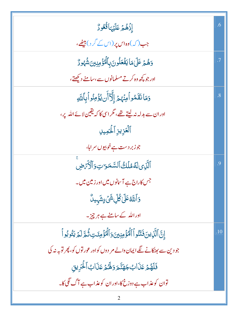| إِذْهُمْ عَلَيْهَائُعُودٌ                                                      | .6             |
|--------------------------------------------------------------------------------|----------------|
| جب(کہ)وہاس پر (اس کے گر د) بیٹھے،                                              |                |
| وَهُمْ عَلَىٰ مَا يَفۡعَلُونَ بِٱلۡمُؤۡمِنِينَ شُهُورٌ                         |                |
| اور جو کچھ وہ کرتے مسلمانوں سے،سامنے دیکھتے،                                   |                |
| دَمَانَقَمُواْمِنۡهُمۡ إِلَّآأَن يُؤۡمِنُواْبِٱللَّهِ                          | $\overline{8}$ |
| اوران سے بدلہ نہ لیتے تھے، مگر اسی کا کہ یقین لائے اللہ یر،                    |                |
| ٱلۡعَزِيزِ ٱلٰۡٓكِمِيلِ                                                        |                |
| جوزبر دست ہے خوبپوں سراہا،                                                     |                |
| ٱلَّذِى لَهُمُلَكُ ٱلسَّمَرَ تِ وَٱلۡأَرۡضِ                                    | .9             |
| جس کاراج ہے آسانوں میں اور زمین میں۔                                           |                |
| <mark>و</mark> َٱللَّهُ عَلَىٰ كُلِّ شَيۡ ءٍ شَہٰيلٌ                           |                |
| اوراللہ کے سامنے ہے ہر چیز۔                                                    |                |
| إِنَّ ٱلَّذِينَ فَنَنُواْ ٱلۡمُؤۡمِنِينَ وَٱلۡمُؤۡمِنَتِ ثُمَّ لَمۡ يَتُوبُواْ | .10            |
| جو دین سے بھٹکانے لگے ایمان والے مر دوں کو اور عور توں کو، پھر توبہ نہ کی      |                |
| فَلَهُمۡ عَذَابُ جَهَنَّعَ وَلَهُمۡ عَذَابُ ٱلۡحَرِیق                          |                |
| توان کو عذاب ہے دوزخ کا،اور ان کو عذاب ہے آگ گگی کا۔                           |                |
|                                                                                |                |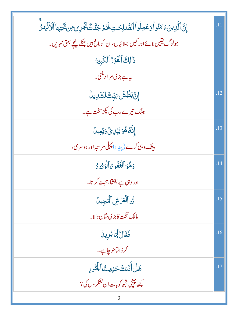| إِنَّ ٱلَّذِينَ ءَامَنُواْوَعَمِلُواْ ٱلصَّلِحَتِ لَهُمۡ جَنَّتَ يَجۡرِى مِن تَحۡيٓمَا ٱلۡأَنۡهَٰزُ | $\overline{.11}$ |
|-----------------------------------------------------------------------------------------------------|------------------|
| جولوگ يقين لائے اور کيں بھلائياں،ان کو باغ ہيں جنکے پنچے بہتی نہريں۔                                |                  |
| ذَٰ لِكَ ٱلْفَوۡرُ ٱلۡكَبِيرُ                                                                       |                  |
| یہ ہے بڑی مر اد مکنی۔                                                                               |                  |
| ٳۣ <i>ڹؾٙ</i> ڹڟؙۺؘؾڔؚۜڸڰڶۺؘڔؠڽۨ                                                                    | .12              |
| بیٹک تیرےرب کی پکڑسخت ہے۔                                                                           |                  |
| ٳڹۜ۠ڷڡؙۿؙۊؽڹڸؽؙٞۯؘؽؙۼؠڵ                                                                             | .13              |
| بیشک وہی کرے (پ <sub>یلی</sub> را) پہلی مریتیہ اور دوسر می،                                         |                  |
| وَهُوَ ٱلۡعَفُومُ ٱلۡوَدُودُ                                                                        | .14              |
| اور وہی ہے بخشا، محبت کرتا۔                                                                         |                  |
| ذُو ٱلۡعَزَّشِ ٱلۡجِينُ                                                                             | .15              |
| <mark>مالک تخت کابڑی شان والا۔</mark>                                                               |                  |
| فَعَّالٌ لِّمَايُرِينُ                                                                              | .16              |
| کرڈالتاجوچاہے۔                                                                                      |                  |
| هَلُ أَتَنكَ حَلِيثُ ٱلْجُنُّودِ                                                                    | .17              |
| مچھ ٽپنجي تجھ کوبات ان کشکر وں کی؟                                                                  |                  |
|                                                                                                     |                  |